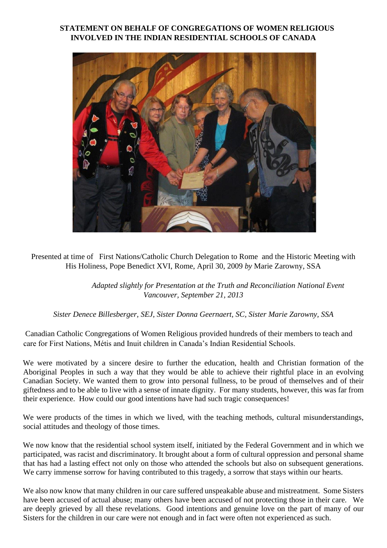## **STATEMENT ON BEHALF OF CONGREGATIONS OF WOMEN RELIGIOUS INVOLVED IN THE INDIAN RESIDENTIAL SCHOOLS OF CANADA**



Presented at time of First Nations/Catholic Church Delegation to Rome and the Historic Meeting with His Holiness, Pope Benedict XVI, Rome, April 30, 2009 *by* Marie Zarowny, SSA

> *Adapted slightly for Presentation at the Truth and Reconciliation National Event Vancouver, September 21, 2013*

*Sister Denece Billesberger, SEJ, Sister Donna Geernaert, SC, Sister Marie Zarowny, SSA* 

Canadian Catholic Congregations of Women Religious provided hundreds of their members to teach and care for First Nations, Métis and Inuit children in Canada's Indian Residential Schools.

We were motivated by a sincere desire to further the education, health and Christian formation of the Aboriginal Peoples in such a way that they would be able to achieve their rightful place in an evolving Canadian Society. We wanted them to grow into personal fullness, to be proud of themselves and of their giftedness and to be able to live with a sense of innate dignity. For many students, however, this was far from their experience. How could our good intentions have had such tragic consequences!

We were products of the times in which we lived, with the teaching methods, cultural misunderstandings, social attitudes and theology of those times.

We now know that the residential school system itself, initiated by the Federal Government and in which we participated, was racist and discriminatory. It brought about a form of cultural oppression and personal shame that has had a lasting effect not only on those who attended the schools but also on subsequent generations. We carry immense sorrow for having contributed to this tragedy, a sorrow that stays within our hearts.

We also now know that many children in our care suffered unspeakable abuse and mistreatment. Some Sisters have been accused of actual abuse; many others have been accused of not protecting those in their care. We are deeply grieved by all these revelations. Good intentions and genuine love on the part of many of our Sisters for the children in our care were not enough and in fact were often not experienced as such.